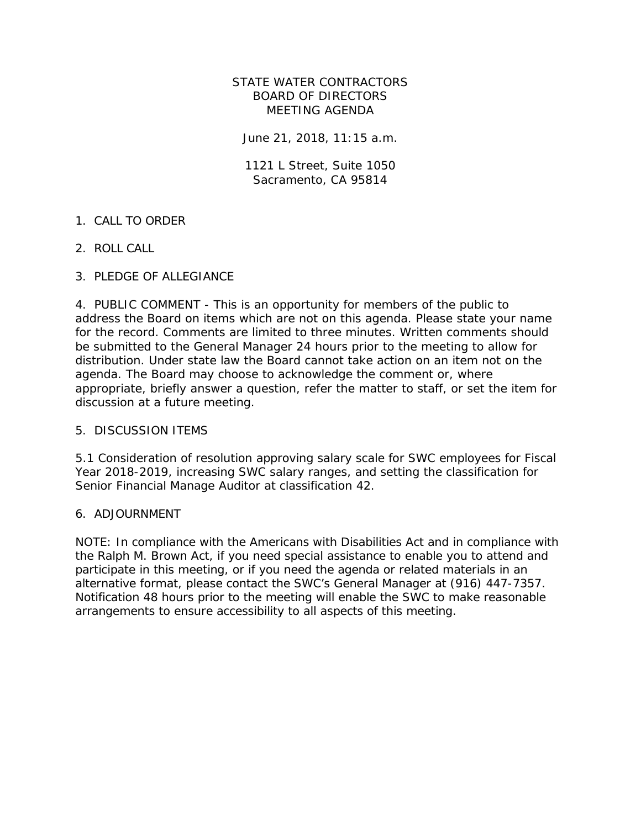### STATE WATER CONTRACTORS BOARD OF DIRECTORS MEETING AGENDA

June 21, 2018, 11:15 a.m.

1121 L Street, Suite 1050 Sacramento, CA 95814

## 1. CALL TO ORDER

2. ROLL CALL

## 3. PLEDGE OF ALLEGIANCE

4. PUBLIC COMMENT - This is an opportunity for members of the public to address the Board on items which are not on this agenda. Please state your name for the record. Comments are limited to three minutes. Written comments should be submitted to the General Manager 24 hours prior to the meeting to allow for distribution. Under state law the Board cannot take action on an item not on the agenda. The Board may choose to acknowledge the comment or, where appropriate, briefly answer a question, refer the matter to staff, or set the item for discussion at a future meeting.

### 5. DISCUSSION ITEMS

5.1 Consideration of resolution approving salary scale for SWC employees for Fiscal Year 2018-2019, increasing SWC salary ranges, and setting the classification for Senior Financial Manage Auditor at classification 42.

### 6. ADJOURNMENT

NOTE: In compliance with the Americans with Disabilities Act and in compliance with the Ralph M. Brown Act, if you need special assistance to enable you to attend and participate in this meeting, or if you need the agenda or related materials in an alternative format, please contact the SWC's General Manager at (916) 447-7357. Notification 48 hours prior to the meeting will enable the SWC to make reasonable arrangements to ensure accessibility to all aspects of this meeting.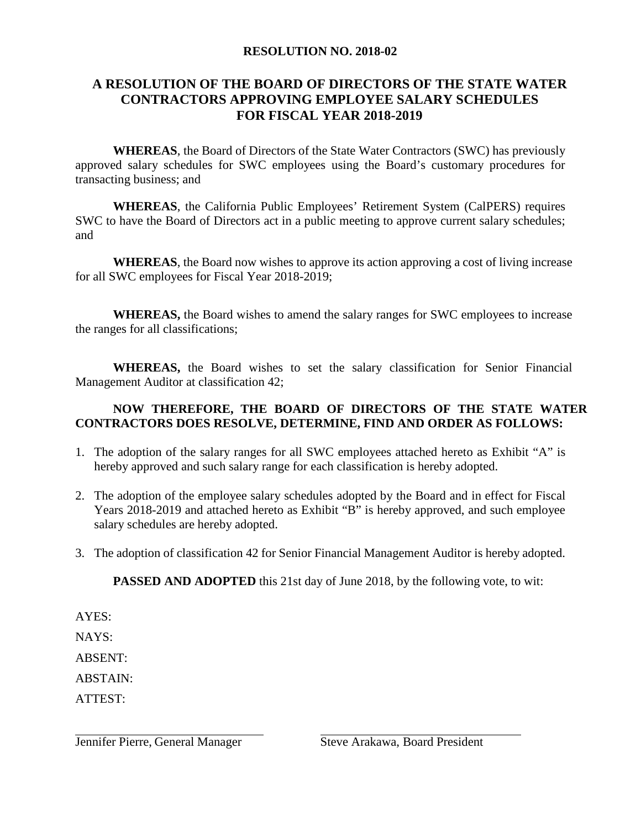### **RESOLUTION NO. 2018-02**

## **A RESOLUTION OF THE BOARD OF DIRECTORS OF THE STATE WATER CONTRACTORS APPROVING EMPLOYEE SALARY SCHEDULES FOR FISCAL YEAR 2018-2019**

**WHEREAS**, the Board of Directors of the State Water Contractors (SWC) has previously approved salary schedules for SWC employees using the Board's customary procedures for transacting business; and

**WHEREAS**, the California Public Employees' Retirement System (CalPERS) requires SWC to have the Board of Directors act in a public meeting to approve current salary schedules; and

**WHEREAS**, the Board now wishes to approve its action approving a cost of living increase for all SWC employees for Fiscal Year 2018-2019;

**WHEREAS,** the Board wishes to amend the salary ranges for SWC employees to increase the ranges for all classifications;

**WHEREAS,** the Board wishes to set the salary classification for Senior Financial Management Auditor at classification 42;

## **NOW THEREFORE, THE BOARD OF DIRECTORS OF THE STATE WATER CONTRACTORS DOES RESOLVE, DETERMINE, FIND AND ORDER AS FOLLOWS:**

- 1. The adoption of the salary ranges for all SWC employees attached hereto as Exhibit "A" is hereby approved and such salary range for each classification is hereby adopted.
- 2. The adoption of the employee salary schedules adopted by the Board and in effect for Fiscal Years 2018-2019 and attached hereto as Exhibit "B" is hereby approved, and such employee salary schedules are hereby adopted.
- 3. The adoption of classification 42 for Senior Financial Management Auditor is hereby adopted.

**PASSED AND ADOPTED** this 21st day of June 2018, by the following vote, to wit:

AYES:

NAYS:

ABSENT:

ABSTAIN:

ATTEST:

Jennifer Pierre, General Manager Steve Arakawa, Board President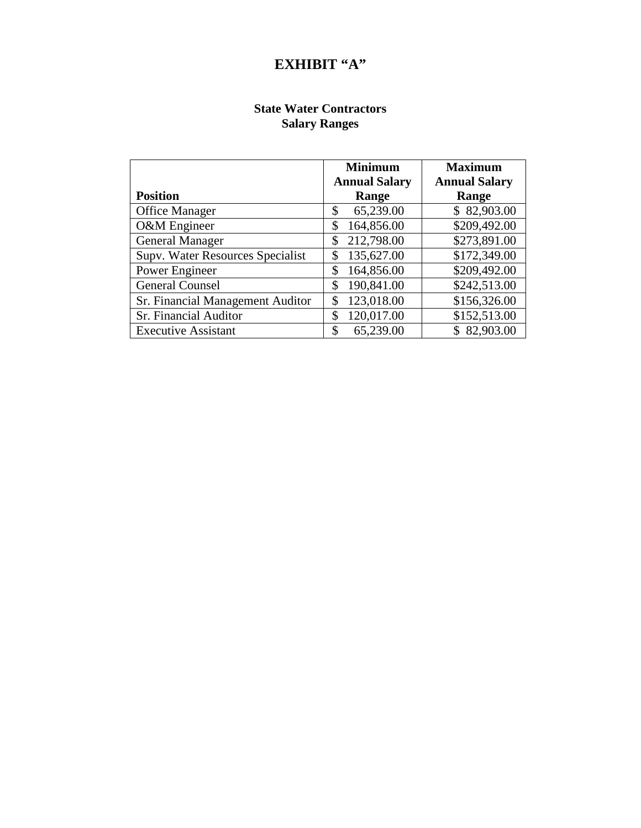## **EXHIBIT "A"**

## **State Water Contractors Salary Ranges**

|                                  | <b>Minimum</b>       | <b>Maximum</b>       |  |  |
|----------------------------------|----------------------|----------------------|--|--|
|                                  | <b>Annual Salary</b> | <b>Annual Salary</b> |  |  |
| <b>Position</b>                  | Range                | Range                |  |  |
| <b>Office Manager</b>            | 65,239.00<br>\$      | \$82,903.00          |  |  |
| O&M Engineer                     | 164,856.00<br>\$     | \$209,492.00         |  |  |
| <b>General Manager</b>           | 212,798.00<br>\$     | \$273,891.00         |  |  |
| Supv. Water Resources Specialist | 135,627.00<br>\$     | \$172,349.00         |  |  |
| Power Engineer                   | 164,856.00<br>\$     | \$209,492.00         |  |  |
| <b>General Counsel</b>           | 190,841.00<br>\$     | \$242,513.00         |  |  |
| Sr. Financial Management Auditor | 123,018.00<br>\$     | \$156,326.00         |  |  |
| Sr. Financial Auditor            | 120,017.00<br>\$     | \$152,513.00         |  |  |
| <b>Executive Assistant</b>       | \$<br>65,239.00      | \$82,903.00          |  |  |